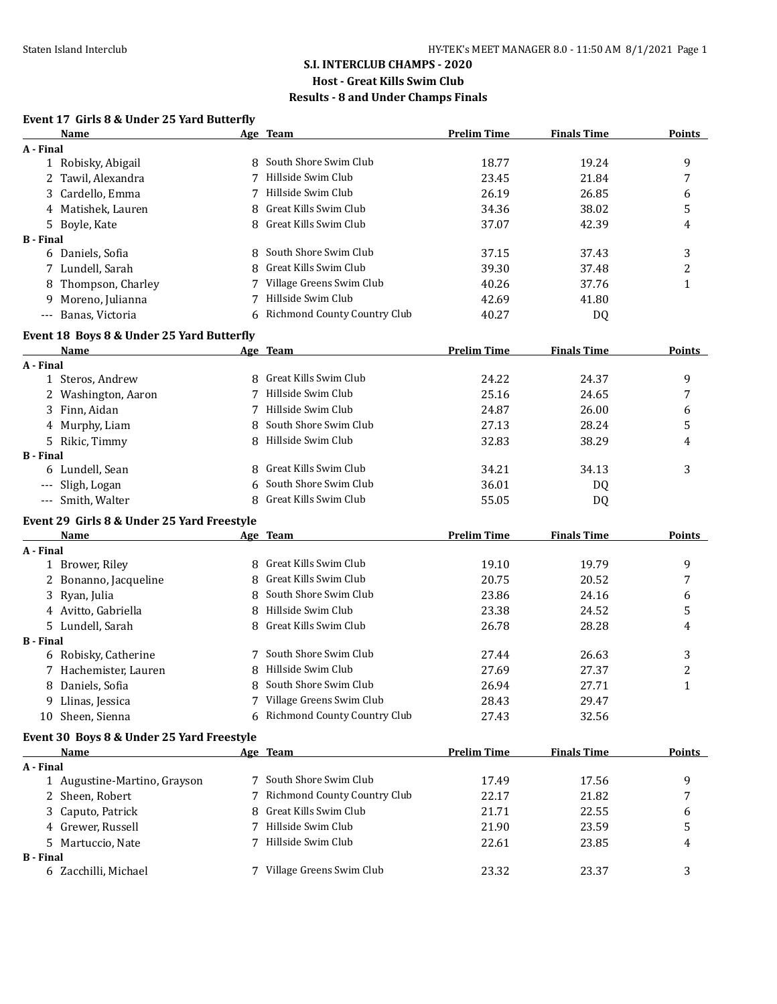## **S.I. INTERCLUB CHAMPS - 2020**

# **Host - Great Kills Swim Club**

## **Results - 8 and Under Champs Finals**

# **Event 17 Girls 8 & Under 25 Yard Butterfly**

|                  | Name                                       |   | Age Team                     | <b>Prelim Time</b> | <b>Finals Time</b> | <b>Points</b> |
|------------------|--------------------------------------------|---|------------------------------|--------------------|--------------------|---------------|
| A - Final        |                                            |   |                              |                    |                    |               |
|                  | 1 Robisky, Abigail                         |   | 8 South Shore Swim Club      | 18.77              | 19.24              | 9             |
|                  | 2 Tawil, Alexandra                         |   | Hillside Swim Club           | 23.45              | 21.84              | 7             |
| 3                | Cardello, Emma                             |   | 7 Hillside Swim Club         | 26.19              | 26.85              | 6             |
|                  | 4 Matishek, Lauren                         | 8 | Great Kills Swim Club        | 34.36              | 38.02              | 5             |
|                  | 5 Boyle, Kate                              |   | Great Kills Swim Club        | 37.07              | 42.39              | 4             |
| <b>B</b> - Final |                                            |   |                              |                    |                    |               |
|                  | 6 Daniels, Sofia                           | 8 | South Shore Swim Club        | 37.15              | 37.43              | 3             |
|                  | 7 Lundell, Sarah                           | 8 | <b>Great Kills Swim Club</b> | 39.30              | 37.48              | 2             |
| 8                | Thompson, Charley                          | 7 | Village Greens Swim Club     | 40.26              | 37.76              | $\mathbf{1}$  |
| 9                | Moreno, Julianna                           | 7 | Hillside Swim Club           | 42.69              | 41.80              |               |
|                  | --- Banas, Victoria                        | 6 | Richmond County Country Club | 40.27              | DQ                 |               |
|                  | Event 18 Boys 8 & Under 25 Yard Butterfly  |   |                              |                    |                    |               |
|                  | Name                                       |   | Age Team                     | <b>Prelim Time</b> | <b>Finals Time</b> | <b>Points</b> |
| A - Final        |                                            |   |                              |                    |                    |               |
|                  | 1 Steros, Andrew                           |   | 8 Great Kills Swim Club      | 24.22              | 24.37              | 9             |
|                  | 2 Washington, Aaron                        |   | 7 Hillside Swim Club         | 25.16              | 24.65              | 7             |
| 3                | Finn, Aidan                                |   | 7 Hillside Swim Club         | 24.87              | 26.00              | 6             |
|                  | 4 Murphy, Liam                             | 8 | South Shore Swim Club        | 27.13              | 28.24              | 5             |
|                  | 5 Rikic, Timmy                             |   | 8 Hillside Swim Club         | 32.83              | 38.29              | 4             |
| <b>B</b> - Final |                                            |   |                              |                    |                    |               |
|                  | 6 Lundell, Sean                            |   | Great Kills Swim Club        | 34.21              | 34.13              | 3             |
|                  | --- Sligh, Logan                           |   | South Shore Swim Club        | 36.01              | DQ                 |               |
|                  | --- Smith, Walter                          | 8 | Great Kills Swim Club        | 55.05              | DQ                 |               |
|                  | Event 29 Girls 8 & Under 25 Yard Freestyle |   |                              |                    |                    |               |
|                  | Name                                       |   | Age Team                     | <b>Prelim Time</b> | <b>Finals Time</b> | <b>Points</b> |
| A - Final        |                                            |   |                              |                    |                    |               |
|                  | 1 Brower, Riley                            | 8 | Great Kills Swim Club        | 19.10              | 19.79              | 9             |
|                  | 2 Bonanno, Jacqueline                      | 8 | Great Kills Swim Club        | 20.75              | 20.52              | 7             |
|                  | 3 Ryan, Julia                              | 8 | South Shore Swim Club        | 23.86              | 24.16              | 6             |
|                  | 4 Avitto, Gabriella                        | 8 | Hillside Swim Club           | 23.38              | 24.52              | 5             |
|                  | 5 Lundell, Sarah                           | 8 | Great Kills Swim Club        | 26.78              | 28.28              | 4             |
| <b>B</b> - Final |                                            |   |                              |                    |                    |               |
|                  | 6 Robisky, Catherine                       |   | 7 South Shore Swim Club      | 27.44              | 26.63              | 3             |
|                  | 7 Hachemister, Lauren                      | 8 | Hillside Swim Club           | 27.69              | 27.37              | 2             |
|                  | 8 Daniels, Sofia                           | 8 | South Shore Swim Club        | 26.94              | 27.71              | $\mathbf{1}$  |
|                  | 9 Llinas, Jessica                          |   | 7 Village Greens Swim Club   | 28.43              | 29.47              |               |
|                  | 10 Sheen, Sienna                           | 6 | Richmond County Country Club | 27.43              | 32.56              |               |
|                  | Event 30 Boys 8 & Under 25 Yard Freestyle  |   |                              |                    |                    |               |
|                  | Name                                       |   | Age Team                     | <b>Prelim Time</b> | <b>Finals Time</b> | <b>Points</b> |
| A - Final        |                                            |   |                              |                    |                    |               |
|                  | 1 Augustine-Martino, Grayson               |   | South Shore Swim Club        | 17.49              | 17.56              | 9             |
|                  | 2 Sheen, Robert                            |   | Richmond County Country Club | 22.17              | 21.82              | 7             |
| 3                | Caputo, Patrick                            |   | Great Kills Swim Club        | 21.71              | 22.55              | 6             |
|                  | 4 Grewer, Russell                          |   | Hillside Swim Club           | 21.90              | 23.59              | 5             |
| 5.               | Martuccio, Nate                            |   | Hillside Swim Club           | 22.61              | 23.85              | 4             |
| <b>B</b> - Final |                                            |   |                              |                    |                    |               |
|                  | 6 Zacchilli, Michael                       |   | 7 Village Greens Swim Club   | 23.32              | 23.37              | 3             |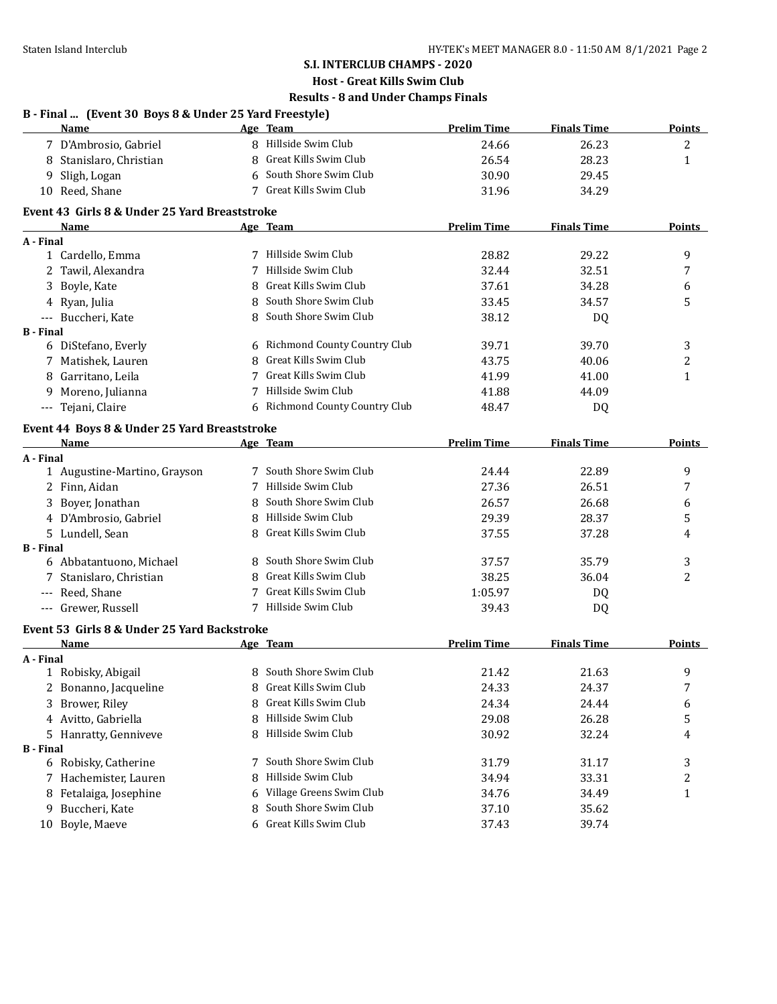#### **S.I. INTERCLUB CHAMPS - 2020**

## **Host - Great Kills Swim Club**

## **Results - 8 and Under Champs Finals**

| B - Final  (Event 30 Boys 8 & Under 25 Yard Freestyle) |                         |                         |                    |                    |        |  |
|--------------------------------------------------------|-------------------------|-------------------------|--------------------|--------------------|--------|--|
|                                                        | <b>Name</b>             | Age Team                | <b>Prelim Time</b> | <b>Finals Time</b> | Points |  |
|                                                        | 7 D'Ambrosio, Gabriel   | 8 Hillside Swim Club    | 24.66              | 26.23              | ∼      |  |
|                                                        | 8 Stanislaro, Christian | 8 Great Kills Swim Club | 26.54              | 28.23              |        |  |
|                                                        | 9 Sligh, Logan          | 6 South Shore Swim Club | 30.90              | 29.45              |        |  |

10 Reed, Shane 24.29 7 Great Kills Swim Club 31.96 34.29

#### **Event 43 Girls 8 & Under 25 Yard Breaststroke**

|                  | Name                                         |   | Age Team                            | <b>Prelim Time</b> | <b>Finals Time</b> | Points         |
|------------------|----------------------------------------------|---|-------------------------------------|--------------------|--------------------|----------------|
| A - Final        |                                              |   |                                     |                    |                    |                |
|                  | 1 Cardello, Emma                             |   | Hillside Swim Club                  | 28.82              | 29.22              | 9              |
|                  | Tawil, Alexandra                             |   | Hillside Swim Club                  | 32.44              | 32.51              | 7              |
| 3                | Boyle, Kate                                  | 8 | Great Kills Swim Club               | 37.61              | 34.28              | 6              |
|                  | 4 Ryan, Julia                                | 8 | South Shore Swim Club               | 33.45              | 34.57              | 5              |
|                  | Buccheri, Kate                               | 8 | South Shore Swim Club               | 38.12              | DQ                 |                |
| <b>B</b> - Final |                                              |   |                                     |                    |                    |                |
|                  | 6 DiStefano, Everly                          | 6 | <b>Richmond County Country Club</b> | 39.71              | 39.70              | 3              |
|                  | 7 Matishek, Lauren                           | 8 | Great Kills Swim Club               | 43.75              | 40.06              | $\overline{c}$ |
| 8                | Garritano, Leila                             |   | Great Kills Swim Club               | 41.99              | 41.00              | $\mathbf{1}$   |
| 9                | Moreno, Julianna                             | 7 | Hillside Swim Club                  | 41.88              | 44.09              |                |
| $---$            | Tejani, Claire                               | 6 | Richmond County Country Club        | 48.47              | DQ                 |                |
|                  | Event 44 Boys 8 & Under 25 Yard Breaststroke |   |                                     |                    |                    |                |
|                  | <b>Name</b>                                  |   | Age Team                            | <b>Prelim Time</b> | <b>Finals Time</b> | Points         |
| A - Final        |                                              |   |                                     |                    |                    |                |
|                  | 1 Augustine-Martino, Grayson                 |   | South Shore Swim Club               | 24.44              | 22.89              | 9              |
|                  | 2 Finn, Aidan                                | 7 | Hillside Swim Club                  | 27.36              | 26.51              | 7              |
| 3                | Boyer, Jonathan                              | 8 | South Shore Swim Club               | 26.57              | 26.68              | 6              |
|                  | 4 D'Ambrosio, Gabriel                        | 8 | Hillside Swim Club                  | 29.39              | 28.37              | 5              |
|                  | 5 Lundell, Sean                              | 8 | Great Kills Swim Club               | 37.55              | 37.28              | 4              |
| <b>B</b> - Final |                                              |   |                                     |                    |                    |                |
|                  | 6 Abbatantuono, Michael                      | 8 | South Shore Swim Club               | 37.57              | 35.79              | 3              |
|                  | Stanislaro, Christian                        | 8 | Great Kills Swim Club               | 38.25              | 36.04              | 2              |
| ---              | Reed, Shane                                  |   | Great Kills Swim Club               | 1:05.97            | DQ                 |                |
| $---$            | Grewer, Russell                              | 7 | Hillside Swim Club                  | 39.43              | DQ                 |                |
|                  | Event 53 Girls 8 & Under 25 Yard Backstroke  |   |                                     |                    |                    |                |

#### **Name Age Team Prelim Time Finals Time Points A - Final** 1 Robisky, Abigail 8 South Shore Swim Club 21.42 21.63 9 2 Bonanno, Jacqueline 8 Great Kills Swim Club 24.33 24.37 7 3 Brower, Riley 8 Great Kills Swim Club 24.34 24.44 6 4 Avitto, Gabriella **8 Hillside Swim Club** 29.08 26.28 5 5 Hanratty, Genniveve 8 Hillside Swim Club 30.92 32.24 4 **B - Final** 6 Robisky, Catherine 7 South Shore Swim Club 31.79 31.17 3 7 Hachemister, Lauren 8 Hillside Swim Club 34.94 33.31 33.31 33.31 8 Fetalaiga, Josephine 6 Village Greens Swim Club 34.76 34.49 1 9 Buccheri, Kate 35.62 8 South Shore Swim Club 37.10 35.62 10 Boyle, Maeve 6 Great Kills Swim Club 37.43 39.74